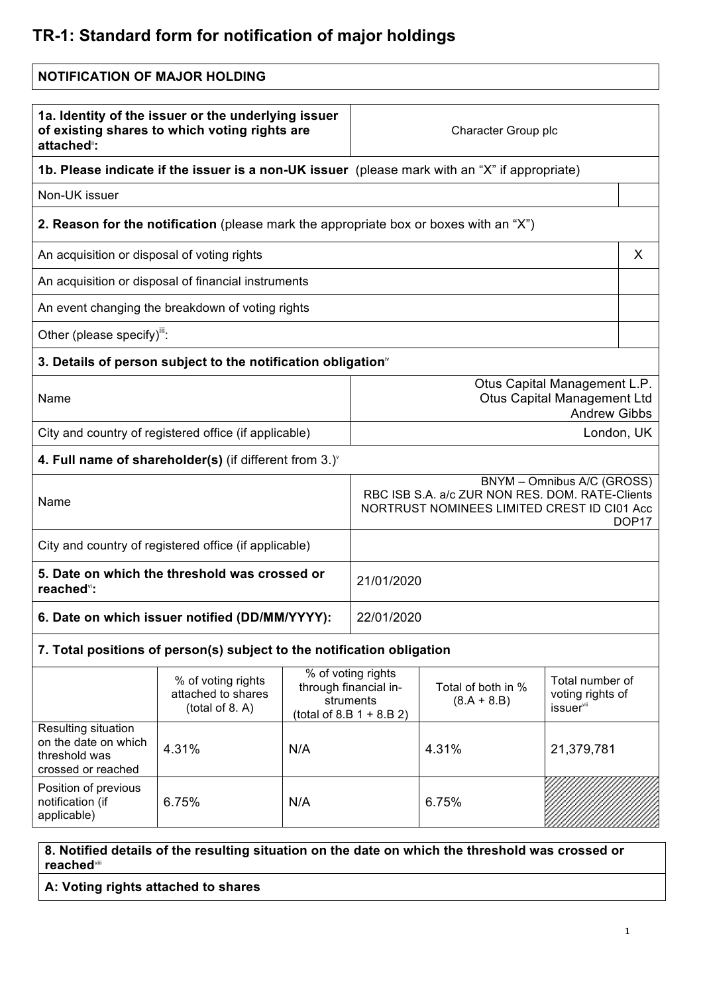## **TR-1: Standard form for notification of major holdings**

| <b>NOTIFICATION OF MAJOR HOLDING</b>                                                                               |                                                                                               |     |                                                                                                                                                   |                                     |                                                              |   |
|--------------------------------------------------------------------------------------------------------------------|-----------------------------------------------------------------------------------------------|-----|---------------------------------------------------------------------------------------------------------------------------------------------------|-------------------------------------|--------------------------------------------------------------|---|
| 1a. Identity of the issuer or the underlying issuer<br>of existing shares to which voting rights are<br>attached": |                                                                                               |     | Character Group plc                                                                                                                               |                                     |                                                              |   |
|                                                                                                                    | 1b. Please indicate if the issuer is a non-UK issuer (please mark with an "X" if appropriate) |     |                                                                                                                                                   |                                     |                                                              |   |
| Non-UK issuer                                                                                                      |                                                                                               |     |                                                                                                                                                   |                                     |                                                              |   |
|                                                                                                                    | <b>2. Reason for the notification</b> (please mark the appropriate box or boxes with an "X")  |     |                                                                                                                                                   |                                     |                                                              |   |
| An acquisition or disposal of voting rights                                                                        |                                                                                               |     |                                                                                                                                                   |                                     |                                                              | X |
|                                                                                                                    | An acquisition or disposal of financial instruments                                           |     |                                                                                                                                                   |                                     |                                                              |   |
|                                                                                                                    | An event changing the breakdown of voting rights                                              |     |                                                                                                                                                   |                                     |                                                              |   |
| Other (please specify)":                                                                                           |                                                                                               |     |                                                                                                                                                   |                                     |                                                              |   |
|                                                                                                                    | 3. Details of person subject to the notification obligation <sup>®</sup>                      |     |                                                                                                                                                   |                                     |                                                              |   |
| Name                                                                                                               |                                                                                               |     | Otus Capital Management L.P.<br><b>Otus Capital Management Ltd</b><br><b>Andrew Gibbs</b>                                                         |                                     |                                                              |   |
|                                                                                                                    | City and country of registered office (if applicable)                                         |     | London, UK                                                                                                                                        |                                     |                                                              |   |
|                                                                                                                    | 4. Full name of shareholder(s) (if different from $3.$ ) $^{\circ}$                           |     |                                                                                                                                                   |                                     |                                                              |   |
| Name                                                                                                               |                                                                                               |     | BNYM - Omnibus A/C (GROSS)<br>RBC ISB S.A. a/c ZUR NON RES. DOM. RATE-Clients<br>NORTRUST NOMINEES LIMITED CREST ID CI01 Acc<br>DOP <sub>17</sub> |                                     |                                                              |   |
| City and country of registered office (if applicable)                                                              |                                                                                               |     |                                                                                                                                                   |                                     |                                                              |   |
| 5. Date on which the threshold was crossed or<br>reached <sup>vi</sup> :                                           |                                                                                               |     | 21/01/2020                                                                                                                                        |                                     |                                                              |   |
| 6. Date on which issuer notified (DD/MM/YYYY):                                                                     |                                                                                               |     | 22/01/2020                                                                                                                                        |                                     |                                                              |   |
|                                                                                                                    | 7. Total positions of person(s) subject to the notification obligation                        |     |                                                                                                                                                   |                                     |                                                              |   |
|                                                                                                                    | % of voting rights<br>attached to shares<br>(total of 8. A)                                   |     | % of voting rights<br>through financial in-<br>struments<br>(total of 8.B $1 + 8.B 2$ )                                                           | Total of both in %<br>$(8.A + 8.B)$ | Total number of<br>voting rights of<br>issuer <sup>vii</sup> |   |
| Resulting situation<br>on the date on which<br>threshold was<br>crossed or reached                                 | 4.31%                                                                                         | N/A |                                                                                                                                                   | 4.31%                               | 21,379,781                                                   |   |
| Position of previous<br>notification (if<br>applicable)                                                            | 6.75%                                                                                         | N/A |                                                                                                                                                   | 6.75%                               |                                                              |   |

**8. Notified details of the resulting situation on the date on which the threshold was crossed or reached**viii

**A: Voting rights attached to shares**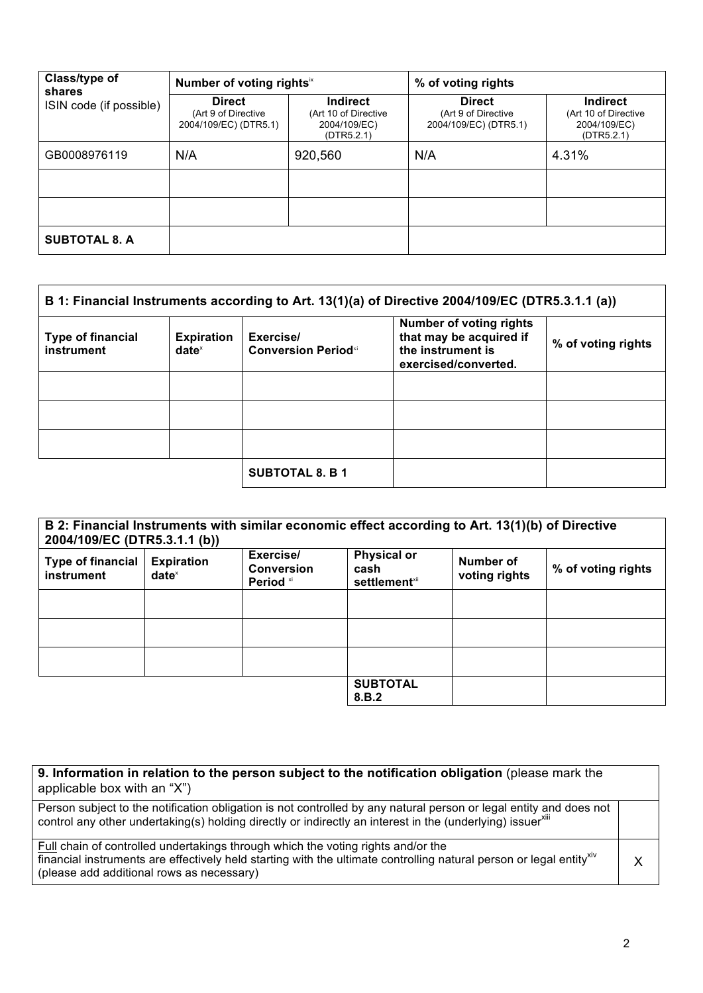| Class/type of<br>shares | Number of voting rights <sup>ix</sup>                         |                                                                       | % of voting rights                                            |                                                                       |
|-------------------------|---------------------------------------------------------------|-----------------------------------------------------------------------|---------------------------------------------------------------|-----------------------------------------------------------------------|
| ISIN code (if possible) | <b>Direct</b><br>(Art 9 of Directive<br>2004/109/EC) (DTR5.1) | <b>Indirect</b><br>(Art 10 of Directive<br>2004/109/EC)<br>(DTR5.2.1) | <b>Direct</b><br>(Art 9 of Directive<br>2004/109/EC) (DTR5.1) | <b>Indirect</b><br>(Art 10 of Directive<br>2004/109/EC)<br>(DTR5.2.1) |
| GB0008976119            | N/A                                                           | 920,560                                                               | N/A                                                           | 4.31%                                                                 |
|                         |                                                               |                                                                       |                                                               |                                                                       |
|                         |                                                               |                                                                       |                                                               |                                                                       |
| <b>SUBTOTAL 8. A</b>    |                                                               |                                                                       |                                                               |                                                                       |

| B 1: Financial Instruments according to Art. 13(1)(a) of Directive 2004/109/EC (DTR5.3.1.1 (a)) |                               |                                          |                                                                                                        |                    |
|-------------------------------------------------------------------------------------------------|-------------------------------|------------------------------------------|--------------------------------------------------------------------------------------------------------|--------------------|
| <b>Type of financial</b><br>instrument                                                          | <b>Expiration</b><br>$date^x$ | Exercise/<br><b>Conversion Period</b> xi | <b>Number of voting rights</b><br>that may be acquired if<br>the instrument is<br>exercised/converted. | % of voting rights |
|                                                                                                 |                               |                                          |                                                                                                        |                    |
|                                                                                                 |                               |                                          |                                                                                                        |                    |
|                                                                                                 |                               |                                          |                                                                                                        |                    |
|                                                                                                 |                               | <b>SUBTOTAL 8. B 1</b>                   |                                                                                                        |                    |

| B 2: Financial Instruments with similar economic effect according to Art. 13(1)(b) of Directive<br>2004/109/EC (DTR5.3.1.1 (b)) |                               |                                                        |                                                         |                            |                    |
|---------------------------------------------------------------------------------------------------------------------------------|-------------------------------|--------------------------------------------------------|---------------------------------------------------------|----------------------------|--------------------|
| <b>Type of financial</b><br>instrument                                                                                          | <b>Expiration</b><br>$date^x$ | Exercise/<br><b>Conversion</b><br>Period <sup>xi</sup> | <b>Physical or</b><br>cash<br>settlement <sup>xii</sup> | Number of<br>voting rights | % of voting rights |
|                                                                                                                                 |                               |                                                        |                                                         |                            |                    |
|                                                                                                                                 |                               |                                                        |                                                         |                            |                    |
|                                                                                                                                 |                               |                                                        |                                                         |                            |                    |
|                                                                                                                                 |                               |                                                        | <b>SUBTOTAL</b><br>8.B.2                                |                            |                    |

| 9. Information in relation to the person subject to the notification obligation (please mark the<br>applicable box with an "X")                                                                                                                                  |   |
|------------------------------------------------------------------------------------------------------------------------------------------------------------------------------------------------------------------------------------------------------------------|---|
| Person subject to the notification obligation is not controlled by any natural person or legal entity and does not<br>control any other undertaking(s) holding directly or indirectly an interest in the (underlying) issuerxill                                 |   |
| Full chain of controlled undertakings through which the voting rights and/or the<br>financial instruments are effectively held starting with the ultimate controlling natural person or legal entity <sup>xiv</sup><br>(please add additional rows as necessary) | Y |